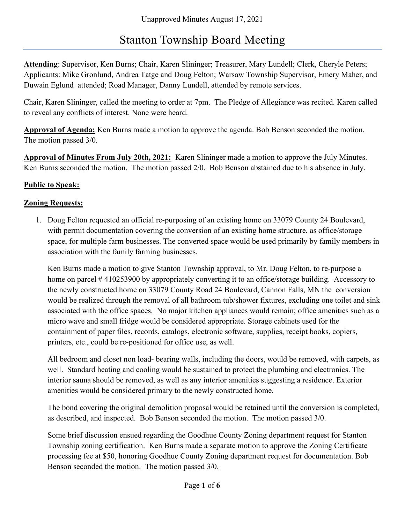## Stanton Township Board Meeting

Attending: Supervisor, Ken Burns; Chair, Karen Slininger; Treasurer, Mary Lundell; Clerk, Cheryle Peters; Applicants: Mike Gronlund, Andrea Tatge and Doug Felton; Warsaw Township Supervisor, Emery Maher, and Duwain Eglund attended; Road Manager, Danny Lundell, attended by remote services.

Chair, Karen Slininger, called the meeting to order at 7pm. The Pledge of Allegiance was recited. Karen called to reveal any conflicts of interest. None were heard.

Approval of Agenda: Ken Burns made a motion to approve the agenda. Bob Benson seconded the motion. The motion passed 3/0.

Approval of Minutes From July 20th, 2021: Karen Slininger made a motion to approve the July Minutes. Ken Burns seconded the motion. The motion passed 2/0. Bob Benson abstained due to his absence in July.

#### Public to Speak:

## Zoning Requests:

1. Doug Felton requested an official re-purposing of an existing home on 33079 County 24 Boulevard, with permit documentation covering the conversion of an existing home structure, as office/storage space, for multiple farm businesses. The converted space would be used primarily by family members in association with the family farming businesses.

Ken Burns made a motion to give Stanton Township approval, to Mr. Doug Felton, to re-purpose a home on parcel #410253900 by appropriately converting it to an office/storage building. Accessory to the newly constructed home on 33079 County Road 24 Boulevard, Cannon Falls, MN the conversion would be realized through the removal of all bathroom tub/shower fixtures, excluding one toilet and sink associated with the office spaces. No major kitchen appliances would remain; office amenities such as a micro wave and small fridge would be considered appropriate. Storage cabinets used for the containment of paper files, records, catalogs, electronic software, supplies, receipt books, copiers, printers, etc., could be re-positioned for office use, as well.

All bedroom and closet non load- bearing walls, including the doors, would be removed, with carpets, as well. Standard heating and cooling would be sustained to protect the plumbing and electronics. The interior sauna should be removed, as well as any interior amenities suggesting a residence. Exterior amenities would be considered primary to the newly constructed home.

The bond covering the original demolition proposal would be retained until the conversion is completed, as described, and inspected. Bob Benson seconded the motion. The motion passed 3/0.

Some brief discussion ensued regarding the Goodhue County Zoning department request for Stanton Township zoning certification. Ken Burns made a separate motion to approve the Zoning Certificate processing fee at \$50, honoring Goodhue County Zoning department request for documentation. Bob Benson seconded the motion. The motion passed 3/0.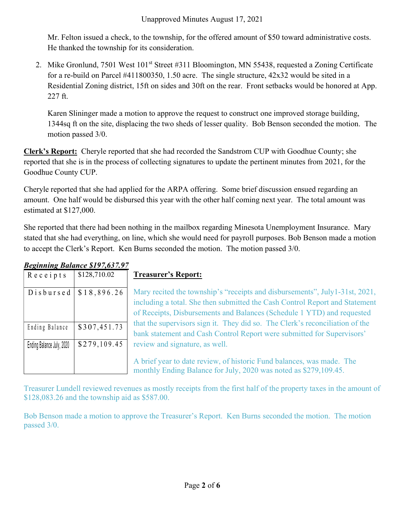Mr. Felton issued a check, to the township, for the offered amount of \$50 toward administrative costs. He thanked the township for its consideration.

2. Mike Gronlund, 7501 West 101<sup>st</sup> Street #311 Bloomington, MN 55438, requested a Zoning Certificate for a re-build on Parcel #411800350, 1.50 acre. The single structure, 42x32 would be sited in a Residential Zoning district, 15ft on sides and 30ft on the rear. Front setbacks would be honored at App. 227 ft.

Karen Slininger made a motion to approve the request to construct one improved storage building, 1344sq ft on the site, displacing the two sheds of lesser quality. Bob Benson seconded the motion. The motion passed 3/0.

Clerk's Report: Cheryle reported that she had recorded the Sandstrom CUP with Goodhue County; she reported that she is in the process of collecting signatures to update the pertinent minutes from 2021, for the Goodhue County CUP.

Cheryle reported that she had applied for the ARPA offering. Some brief discussion ensued regarding an amount. One half would be disbursed this year with the other half coming next year. The total amount was estimated at \$127,000.

She reported that there had been nothing in the mailbox regarding Minesota Unemployment Insurance. Mary stated that she had everything, on line, which she would need for payroll purposes. Bob Benson made a motion to accept the Clerk's Report. Ken Burns seconded the motion. The motion passed 3/0. Karen Slininger made a motion to approve the request to construct one im<br>
1344sq ft on the site, displacing the two sheds of lesser quality. Bob Bense<br>
motion passed 3/0.<br> **Lerk's Report:** Cheryle reported that she had re

| $R$ e c e $1$ p t s       | \$128,710.02 |
|---------------------------|--------------|
| Disbursed                 | \$18,896.26  |
|                           |              |
|                           |              |
| Ending Balance            | \$307,451.73 |
| Ending Balance July, 2020 | \$279,109.45 |
|                           |              |
|                           |              |

# Beginning Balance \$197,637.97

## Treasurer's Report:

Mary recited the township's "receipts and disbursements", July1-31st, 2021, including a total. She then submitted the Cash Control Report and Statement of Receipts, Disbursements and Balances (Schedule 1 YTD) and requested that the supervisors sign it. They did so. The Clerk's reconciliation of the bank statement and Cash Control Report were submitted for Supervisors' review and signature, as well. 1344sq ft on the site, displacing the two sheds of lesser quality. Bob Benson seconded the<br>
motion passed 3/0.<br>
Lerk's Renort: Cheryle reported that she had recorded the Sandstrom CUP with Goodhue Count<br>
perperted that sh eported that she is in the process of collecting signatures to update the pertinent minutes from 202<br>
ioodhue County CUP.<br>
Neryle reported that she had applied for the ARPA offering. Some brief discussion ensued regard<br>
m Ending Balance States and Solution of Decision and Conduct Counter Counter Counter Counter (Section 2020 and Counter that the balance of the MPA offering. Some brief discussion ensued regards<br>
is stimulated at \$127,000.<br>

A brief year to date review, of historic Fund balances, was made. The monthly Ending Balance for July, 2020 was noted as \$279,109.45.

Treasurer Lundell reviewed revenues as mostly receipts from the first half of the property taxes in the amount of \$128,083.26 and the township aid as \$587.00.

Bob Benson made a motion to approve the Treasurer's Report. Ken Burns seconded the motion. The motion passed 3/0.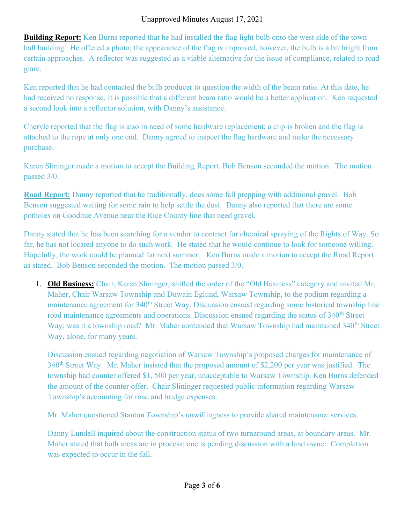#### Unapproved Minutes August 17, 2021

**Building Report:** Ken Burns reported that he had installed the flag light bulb onto the west side of the town hall building. He offered a photo; the appearance of the flag is improved, however, the bulb is a bit bright from certain approaches. A reflector was suggested as a viable alternative for the issue of compliance, related to road glare.

Ken reported that he had contacted the bulb producer to question the width of the beam ratio. At this date, he had received no response. It is possible that a different beam ratio would be a better application. Ken requested a second look into a reflector solution, with Danny's assistance.

Cheryle reported that the flag is also in need of some hardware replacement; a clip is broken and the flag is attached to the rope at only one end. Danny agreed to inspect the flag hardware and make the necessary purchase.

Karen Slininger made a motion to accept the Building Report. Bob Benson seconded the motion. The motion passed 3/0.

Road Report: Danny reported that he traditionally, does some fall prepping with additional gravel. Bob Benson suggested waiting for some rain to help settle the dust. Danny also reported that there are some potholes on Goodhue Avenue near the Rice County line that need gravel.

Danny stated that he has been searching for a vendor to contract for chemical spraying of the Rights of Way. So far, he has not located anyone to do such work. He stated that he would continue to look for someone willing. Hopefully, the work could be planned for next summer. Ken Burns made a motion to accept the Road Report as stated. Bob Benson seconded the motion. The motion passed 3/0.

1. **Old Business:** Chair, Karen Slininger, shifted the order of the "Old Business" category and invited Mr. Maher, Chair Warsaw Township and Duwain Eglund, Warsaw Township, to the podium regarding a maintenance agreement for 340<sup>th</sup> Street Way. Discussion ensued regarding some historical township line road maintenance agreements and operations. Discussion ensued regarding the status of 340<sup>th</sup> Street Way; was it a township road? Mr. Maher contended that Warsaw Township had maintained 340<sup>th</sup> Street Way, alone, for many years.

Discussion ensued regarding negotiation of Warsaw Township's proposed charges for maintenance of 340<sup>th</sup> Street Way. Mr. Maher insisted that the proposed amount of \$2,200 per year was justified. The township had counter offered \$1, 500 per year, unacceptable to Warsaw Township. Ken Burns defended the amount of the counter offer. Chair Slininger requested public information regarding Warsaw Township's accounting for road and bridge expenses.

Mr. Maher questioned Stanton Township's unwillingness to provide shared maintenance services.

Danny Lundell inquired about the construction status of two turnaround areas, at boundary areas. Mr. Maher stated that both areas are in process; one is pending discussion with a land owner. Completion was expected to occur in the fall.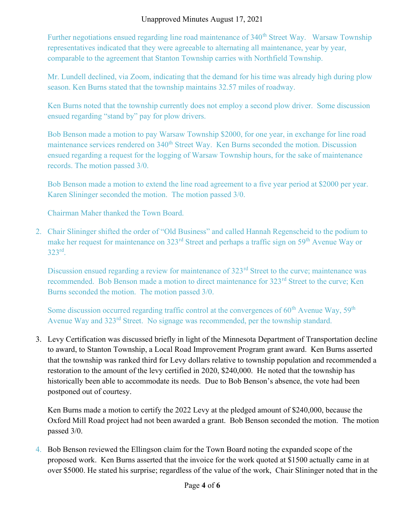#### Unapproved Minutes August 17, 2021

Further negotiations ensued regarding line road maintenance of 340<sup>th</sup> Street Way. Warsaw Township representatives indicated that they were agreeable to alternating all maintenance, year by year, comparable to the agreement that Stanton Township carries with Northfield Township.

Mr. Lundell declined, via Zoom, indicating that the demand for his time was already high during plow season. Ken Burns stated that the township maintains 32.57 miles of roadway.

Ken Burns noted that the township currently does not employ a second plow driver. Some discussion ensued regarding "stand by" pay for plow drivers.

Bob Benson made a motion to pay Warsaw Township \$2000, for one year, in exchange for line road maintenance services rendered on 340<sup>th</sup> Street Way. Ken Burns seconded the motion. Discussion ensued regarding a request for the logging of Warsaw Township hours, for the sake of maintenance records. The motion passed 3/0.

Bob Benson made a motion to extend the line road agreement to a five year period at \$2000 per year. Karen Slininger seconded the motion. The motion passed 3/0.

Chairman Maher thanked the Town Board.

2. Chair Slininger shifted the order of "Old Business" and called Hannah Regenscheid to the podium to make her request for maintenance on 323<sup>rd</sup> Street and perhaps a traffic sign on 59<sup>th</sup> Avenue Way or  $323<sup>rd</sup>$ .

Discussion ensued regarding a review for maintenance of 323<sup>rd</sup> Street to the curve; maintenance was recommended. Bob Benson made a motion to direct maintenance for 323<sup>rd</sup> Street to the curve; Ken Burns seconded the motion. The motion passed 3/0.

Some discussion occurred regarding traffic control at the convergences of  $60<sup>th</sup>$  Avenue Way,  $59<sup>th</sup>$ Avenue Way and 323<sup>rd</sup> Street. No signage was recommended, per the township standard.

3. Levy Certification was discussed briefly in light of the Minnesota Department of Transportation decline to award, to Stanton Township, a Local Road Improvement Program grant award. Ken Burns asserted that the township was ranked third for Levy dollars relative to township population and recommended a restoration to the amount of the levy certified in 2020, \$240,000. He noted that the township has historically been able to accommodate its needs. Due to Bob Benson's absence, the vote had been postponed out of courtesy.

Ken Burns made a motion to certify the 2022 Levy at the pledged amount of \$240,000, because the Oxford Mill Road project had not been awarded a grant. Bob Benson seconded the motion. The motion passed 3/0.

4. Bob Benson reviewed the Ellingson claim for the Town Board noting the expanded scope of the proposed work. Ken Burns asserted that the invoice for the work quoted at \$1500 actually came in at over \$5000. He stated his surprise; regardless of the value of the work, Chair Slininger noted that in the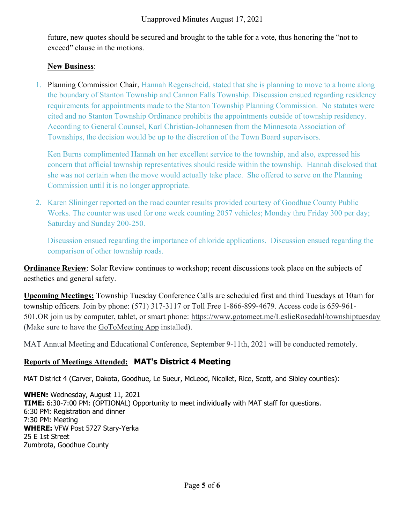future, new quotes should be secured and brought to the table for a vote, thus honoring the "not to exceed" clause in the motions.

#### New Business:

1. Planning Commission Chair, Hannah Regenscheid, stated that she is planning to move to a home along the boundary of Stanton Township and Cannon Falls Township. Discussion ensued regarding residency requirements for appointments made to the Stanton Township Planning Commission. No statutes were cited and no Stanton Township Ordinance prohibits the appointments outside of township residency. According to General Counsel, Karl Christian-Johannesen from the Minnesota Association of Townships, the decision would be up to the discretion of the Town Board supervisors.

Ken Burns complimented Hannah on her excellent service to the township, and also, expressed his concern that official township representatives should reside within the township. Hannah disclosed that she was not certain when the move would actually take place. She offered to serve on the Planning Commission until it is no longer appropriate.

2. Karen Slininger reported on the road counter results provided courtesy of Goodhue County Public Works. The counter was used for one week counting 2057 vehicles; Monday thru Friday 300 per day; Saturday and Sunday 200-250.

Discussion ensued regarding the importance of chloride applications. Discussion ensued regarding the comparison of other township roads.

**Ordinance Review**: Solar Review continues to workshop; recent discussions took place on the subjects of aesthetics and general safety.

Upcoming Meetings: Township Tuesday Conference Calls are scheduled first and third Tuesdays at 10am for township officers. Join by phone: (571) 317-3117 or Toll Free 1-866-899-4679. Access code is 659-961- 501.OR join us by computer, tablet, or smart phone: https://www.gotomeet.me/LeslieRosedahl/townshiptuesday (Make sure to have the GoToMeeting App installed).

MAT Annual Meeting and Educational Conference, September 9-11th, 2021 will be conducted remotely.

## Reports of Meetings Attended: MAT's District 4 Meeting

MAT District 4 (Carver, Dakota, Goodhue, Le Sueur, McLeod, Nicollet, Rice, Scott, and Sibley counties):

WHEN: Wednesday, August 11, 2021 TIME: 6:30-7:00 PM: (OPTIONAL) Opportunity to meet individually with MAT staff for questions. 6:30 PM: Registration and dinner 7:30 PM: Meeting WHERE: VFW Post 5727 Stary-Yerka 25 E 1st Street Zumbrota, Goodhue County